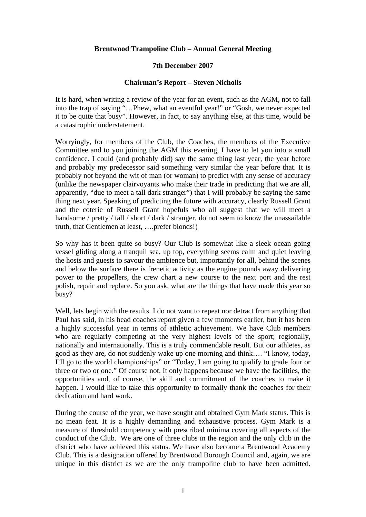## **Brentwood Trampoline Club – Annual General Meeting**

## **7th December 2007**

## **Chairman's Report – Steven Nicholls**

It is hard, when writing a review of the year for an event, such as the AGM, not to fall into the trap of saying "…Phew, what an eventful year!" or "Gosh, we never expected it to be quite that busy". However, in fact, to say anything else, at this time, would be a catastrophic understatement.

Worryingly, for members of the Club, the Coaches, the members of the Executive Committee and to you joining the AGM this evening, I have to let you into a small confidence. I could (and probably did) say the same thing last year, the year before and probably my predecessor said something very similar the year before that. It is probably not beyond the wit of man (or woman) to predict with any sense of accuracy (unlike the newspaper clairvoyants who make their trade in predicting that we are all, apparently, "due to meet a tall dark stranger") that I will probably be saying the same thing next year. Speaking of predicting the future with accuracy, clearly Russell Grant and the coterie of Russell Grant hopefuls who all suggest that we will meet a handsome / pretty / tall / short / dark / stranger, do not seem to know the unassailable truth, that Gentlemen at least, ….prefer blonds!)

So why has it been quite so busy? Our Club is somewhat like a sleek ocean going vessel gliding along a tranquil sea, up top, everything seems calm and quiet leaving the hosts and guests to savour the ambience but, importantly for all, behind the scenes and below the surface there is frenetic activity as the engine pounds away delivering power to the propellers, the crew chart a new course to the next port and the rest polish, repair and replace. So you ask, what are the things that have made this year so busy?

Well, lets begin with the results. I do not want to repeat nor detract from anything that Paul has said, in his head coaches report given a few moments earlier, but it has been a highly successful year in terms of athletic achievement. We have Club members who are regularly competing at the very highest levels of the sport; regionally, nationally and internationally. This is a truly commendable result. But our athletes, as good as they are, do not suddenly wake up one morning and think…. "I know, today, I'll go to the world championships" or "Today, I am going to qualify to grade four or three or two or one." Of course not. It only happens because we have the facilities, the opportunities and, of course, the skill and commitment of the coaches to make it happen. I would like to take this opportunity to formally thank the coaches for their dedication and hard work.

During the course of the year, we have sought and obtained Gym Mark status. This is no mean feat. It is a highly demanding and exhaustive process. Gym Mark is a measure of threshold competency with prescribed minima covering all aspects of the conduct of the Club. We are one of three clubs in the region and the only club in the district who have achieved this status. We have also become a Brentwood Academy Club. This is a designation offered by Brentwood Borough Council and, again, we are unique in this district as we are the only trampoline club to have been admitted.